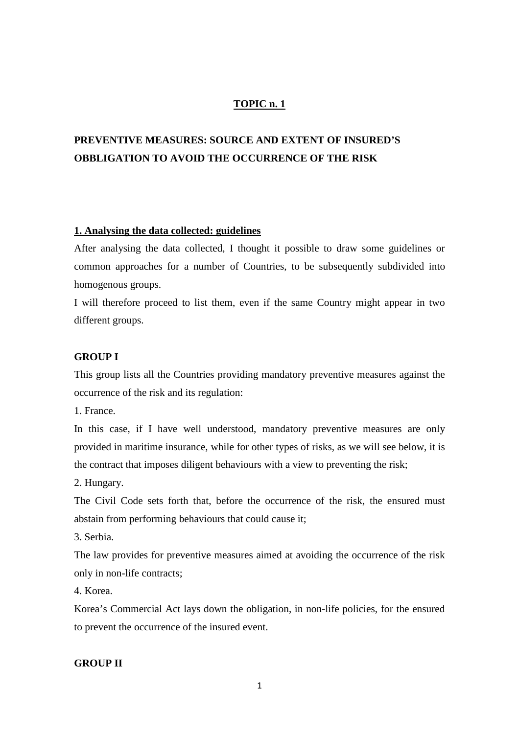## **TOPIC n. 1**

# **PREVENTIVE MEASURES: SOURCE AND EXTENT OF INSURED'S OBBLIGATION TO AVOID THE OCCURRENCE OF THE RISK**

#### **1. Analysing the data collected: guidelines**

After analysing the data collected, I thought it possible to draw some guidelines or common approaches for a number of Countries, to be subsequently subdivided into homogenous groups.

I will therefore proceed to list them, even if the same Country might appear in two different groups.

#### **GROUP I**

This group lists all the Countries providing mandatory preventive measures against the occurrence of the risk and its regulation:

1. France.

In this case, if I have well understood, mandatory preventive measures are only provided in maritime insurance, while for other types of risks, as we will see below, it is the contract that imposes diligent behaviours with a view to preventing the risk;

2. Hungary.

The Civil Code sets forth that, before the occurrence of the risk, the ensured must abstain from performing behaviours that could cause it;

3. Serbia.

The law provides for preventive measures aimed at avoiding the occurrence of the risk only in non-life contracts;

4. Korea.

Korea's Commercial Act lays down the obligation, in non-life policies, for the ensured to prevent the occurrence of the insured event.

## **GROUP II**

1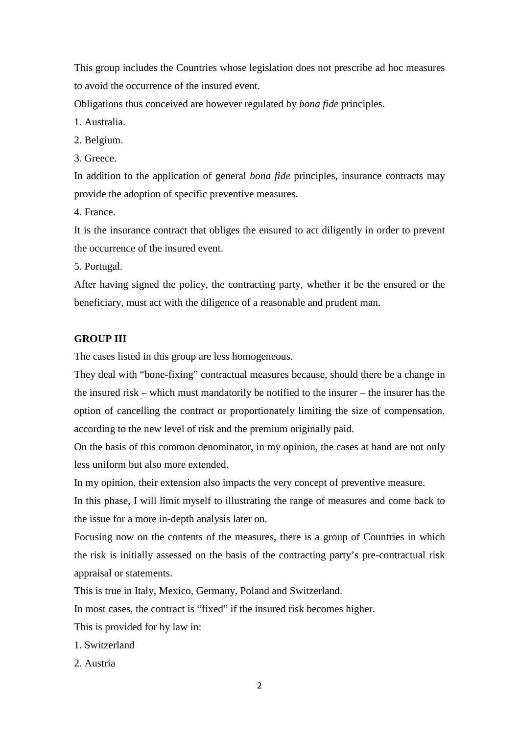This group includes the Countries whose legislation does not prescribe ad hoc measures to avoid the occurrence of the insured event.

Obligations thus conceived are however regulated by *bona fide* principles.

1. Australia.

2. Belgium.

3. Greece.

In addition to the application of general *bona fide* principles, insurance contracts may provide the adoption of specific preventive measures.

4. France.

It is the insurance contract that obliges the ensured to act diligently in order to prevent the occurrence of the insured event.

5. Portugal.

After having signed the policy, the contracting party, whether it be the ensured or the beneficiary, must act with the diligence of a reasonable and prudent man.

## **GROUP III**

The cases listed in this group are less homogeneous.

They deal with "bone-fixing" contractual measures because, should there be a change in the insured risk – which must mandatorily be notified to the insurer – the insurer has the option of cancelling the contract or proportionately limiting the size of compensation, according to the new level of risk and the premium originally paid.

On the basis of this common denominator, in my opinion, the cases at hand are not only less uniform but also more extended.

In my opinion, their extension also impacts the very concept of preventive measure.

In this phase, I will limit myself to illustrating the range of measures and come back to the issue for a more in-depth analysis later on.

Focusing now on the contents of the measures, there is a group of Countries in which the risk is initially assessed on the basis of the contracting party's pre-contractual risk appraisal or statements.

This is true in Italy, Mexico, Germany, Poland and Switzerland.

In most cases, the contract is "fixed" if the insured risk becomes higher.

This is provided for by law in:

- 1. Switzerland
- 2. Austria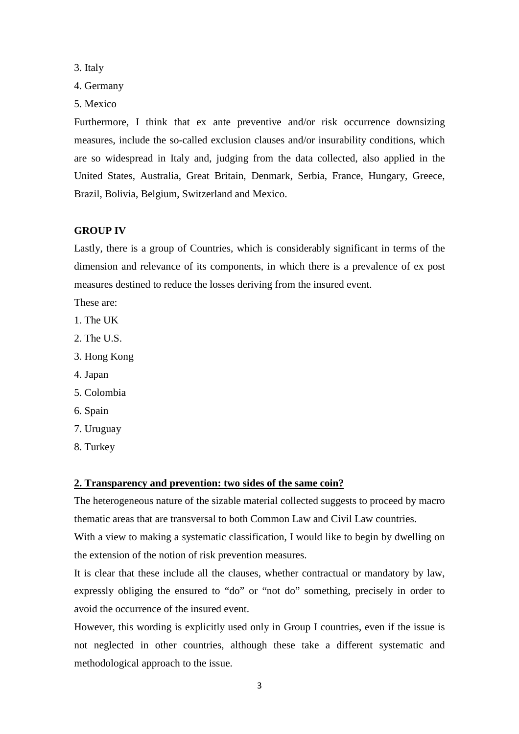3. Italy

- 4. Germany
- 5. Mexico

Furthermore, I think that ex ante preventive and/or risk occurrence downsizing measures, include the so-called exclusion clauses and/or insurability conditions, which are so widespread in Italy and, judging from the data collected, also applied in the United States, Australia, Great Britain, Denmark, Serbia, France, Hungary, Greece, Brazil, Bolivia, Belgium, Switzerland and Mexico.

### **GROUP IV**

Lastly, there is a group of Countries, which is considerably significant in terms of the dimension and relevance of its components, in which there is a prevalence of ex post measures destined to reduce the losses deriving from the insured event.

These are:

- 1. The UK
- 2. The U.S.
- 3. Hong Kong
- 4. Japan
- 5. Colombia
- 6. Spain
- 7. Uruguay
- 8. Turkey

### **2. Transparency and prevention: two sides of the same coin?**

The heterogeneous nature of the sizable material collected suggests to proceed by macro thematic areas that are transversal to both Common Law and Civil Law countries.

With a view to making a systematic classification, I would like to begin by dwelling on the extension of the notion of risk prevention measures.

It is clear that these include all the clauses, whether contractual or mandatory by law, expressly obliging the ensured to "do" or "not do" something, precisely in order to avoid the occurrence of the insured event.

However, this wording is explicitly used only in Group I countries, even if the issue is not neglected in other countries, although these take a different systematic and methodological approach to the issue.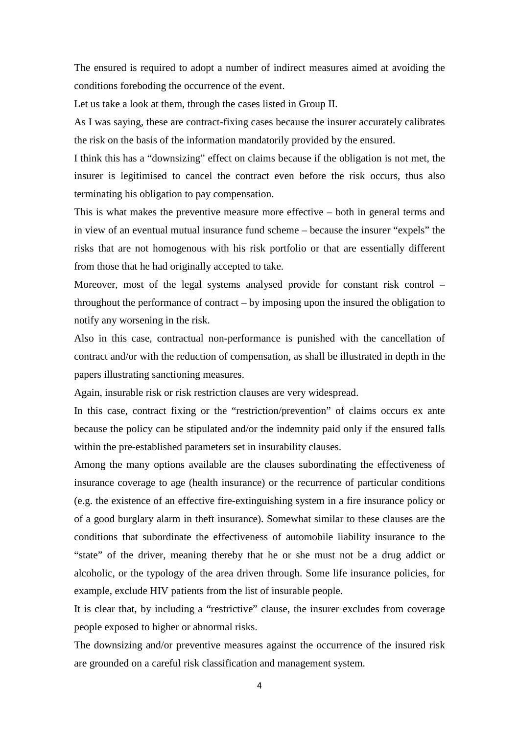The ensured is required to adopt a number of indirect measures aimed at avoiding the conditions foreboding the occurrence of the event.

Let us take a look at them, through the cases listed in Group II.

As I was saying, these are contract-fixing cases because the insurer accurately calibrates the risk on the basis of the information mandatorily provided by the ensured.

I think this has a "downsizing" effect on claims because if the obligation is not met, the insurer is legitimised to cancel the contract even before the risk occurs, thus also terminating his obligation to pay compensation.

This is what makes the preventive measure more effective – both in general terms and in view of an eventual mutual insurance fund scheme – because the insurer "expels" the risks that are not homogenous with his risk portfolio or that are essentially different from those that he had originally accepted to take.

Moreover, most of the legal systems analysed provide for constant risk control – throughout the performance of contract – by imposing upon the insured the obligation to notify any worsening in the risk.

Also in this case, contractual non-performance is punished with the cancellation of contract and/or with the reduction of compensation, as shall be illustrated in depth in the papers illustrating sanctioning measures.

Again, insurable risk or risk restriction clauses are very widespread.

In this case, contract fixing or the "restriction/prevention" of claims occurs ex ante because the policy can be stipulated and/or the indemnity paid only if the ensured falls within the pre-established parameters set in insurability clauses.

Among the many options available are the clauses subordinating the effectiveness of insurance coverage to age (health insurance) or the recurrence of particular conditions (e.g. the existence of an effective fire-extinguishing system in a fire insurance policy or of a good burglary alarm in theft insurance). Somewhat similar to these clauses are the conditions that subordinate the effectiveness of automobile liability insurance to the "state" of the driver, meaning thereby that he or she must not be a drug addict or alcoholic, or the typology of the area driven through. Some life insurance policies, for example, exclude HIV patients from the list of insurable people.

It is clear that, by including a "restrictive" clause, the insurer excludes from coverage people exposed to higher or abnormal risks.

The downsizing and/or preventive measures against the occurrence of the insured risk are grounded on a careful risk classification and management system.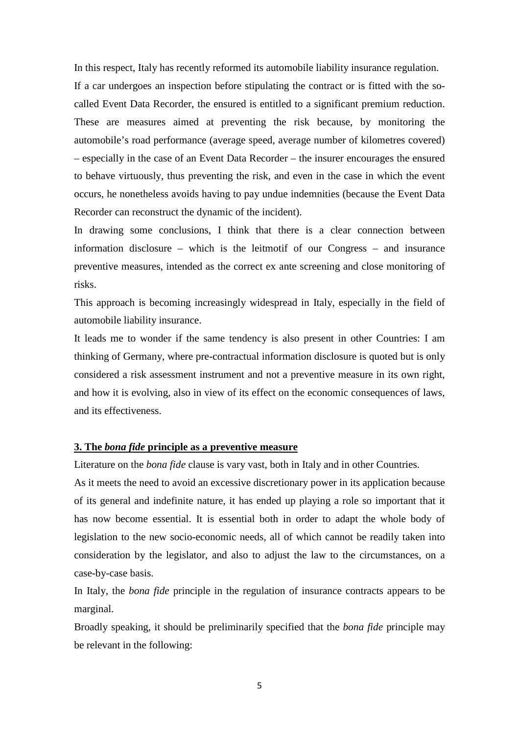In this respect, Italy has recently reformed its automobile liability insurance regulation.

If a car undergoes an inspection before stipulating the contract or is fitted with the socalled Event Data Recorder, the ensured is entitled to a significant premium reduction. These are measures aimed at preventing the risk because, by monitoring the automobile's road performance (average speed, average number of kilometres covered) – especially in the case of an Event Data Recorder – the insurer encourages the ensured to behave virtuously, thus preventing the risk, and even in the case in which the event occurs, he nonetheless avoids having to pay undue indemnities (because the Event Data Recorder can reconstruct the dynamic of the incident).

In drawing some conclusions, I think that there is a clear connection between information disclosure – which is the leitmotif of our Congress – and insurance preventive measures, intended as the correct ex ante screening and close monitoring of risks.

This approach is becoming increasingly widespread in Italy, especially in the field of automobile liability insurance.

It leads me to wonder if the same tendency is also present in other Countries: I am thinking of Germany, where pre-contractual information disclosure is quoted but is only considered a risk assessment instrument and not a preventive measure in its own right, and how it is evolving, also in view of its effect on the economic consequences of laws, and its effectiveness.

#### **3. The** *bona fide* **principle as a preventive measure**

Literature on the *bona fide* clause is vary vast, both in Italy and in other Countries.

As it meets the need to avoid an excessive discretionary power in its application because of its general and indefinite nature, it has ended up playing a role so important that it has now become essential. It is essential both in order to adapt the whole body of legislation to the new socio-economic needs, all of which cannot be readily taken into consideration by the legislator, and also to adjust the law to the circumstances, on a case-by-case basis.

In Italy, the *bona fide* principle in the regulation of insurance contracts appears to be marginal.

Broadly speaking, it should be preliminarily specified that the *bona fide* principle may be relevant in the following: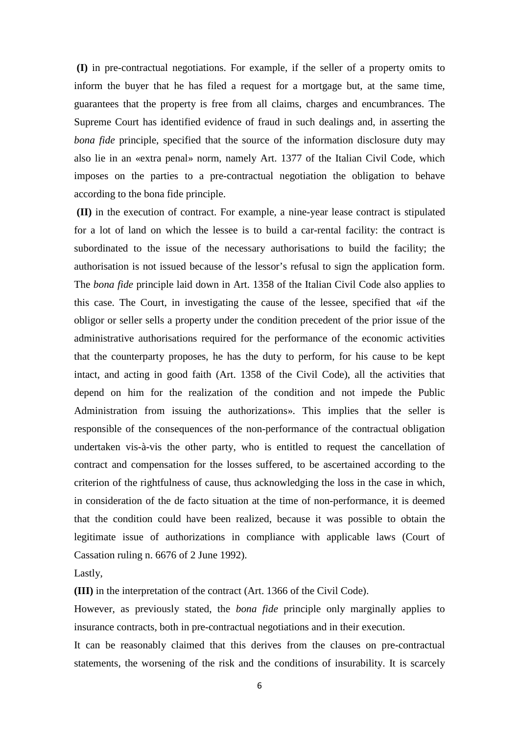**(I)** in pre-contractual negotiations. For example, if the seller of a property omits to inform the buyer that he has filed a request for a mortgage but, at the same time, guarantees that the property is free from all claims, charges and encumbrances. The Supreme Court has identified evidence of fraud in such dealings and, in asserting the *bona fide* principle, specified that the source of the information disclosure duty may also lie in an «extra penal» norm, namely Art. 1377 of the Italian Civil Code, which imposes on the parties to a pre-contractual negotiation the obligation to behave according to the bona fide principle.

 **(II)** in the execution of contract. For example, a nine-year lease contract is stipulated for a lot of land on which the lessee is to build a car-rental facility: the contract is subordinated to the issue of the necessary authorisations to build the facility; the authorisation is not issued because of the lessor's refusal to sign the application form. The *bona fide* principle laid down in Art. 1358 of the Italian Civil Code also applies to this case. The Court, in investigating the cause of the lessee, specified that «if the obligor or seller sells a property under the condition precedent of the prior issue of the administrative authorisations required for the performance of the economic activities that the counterparty proposes, he has the duty to perform, for his cause to be kept intact, and acting in good faith (Art. 1358 of the Civil Code), all the activities that depend on him for the realization of the condition and not impede the Public Administration from issuing the authorizations». This implies that the seller is responsible of the consequences of the non-performance of the contractual obligation undertaken vis-à-vis the other party, who is entitled to request the cancellation of contract and compensation for the losses suffered, to be ascertained according to the criterion of the rightfulness of cause, thus acknowledging the loss in the case in which, in consideration of the de facto situation at the time of non-performance, it is deemed that the condition could have been realized, because it was possible to obtain the legitimate issue of authorizations in compliance with applicable laws (Court of Cassation ruling n. 6676 of 2 June 1992).

Lastly,

**(III)** in the interpretation of the contract (Art. 1366 of the Civil Code).

However, as previously stated, the *bona fide* principle only marginally applies to insurance contracts, both in pre-contractual negotiations and in their execution.

It can be reasonably claimed that this derives from the clauses on pre-contractual statements, the worsening of the risk and the conditions of insurability. It is scarcely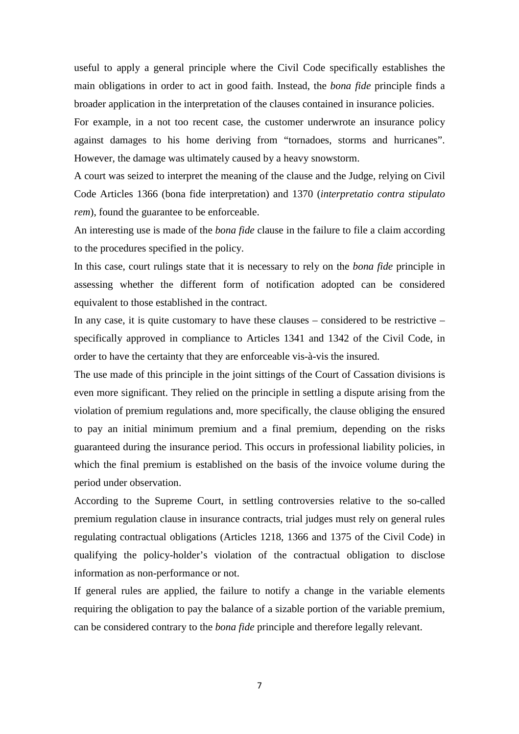useful to apply a general principle where the Civil Code specifically establishes the main obligations in order to act in good faith. Instead, the *bona fide* principle finds a broader application in the interpretation of the clauses contained in insurance policies.

For example, in a not too recent case, the customer underwrote an insurance policy against damages to his home deriving from "tornadoes, storms and hurricanes". However, the damage was ultimately caused by a heavy snowstorm.

A court was seized to interpret the meaning of the clause and the Judge, relying on Civil Code Articles 1366 (bona fide interpretation) and 1370 (*interpretatio contra stipulato rem*), found the guarantee to be enforceable.

An interesting use is made of the *bona fide* clause in the failure to file a claim according to the procedures specified in the policy.

In this case, court rulings state that it is necessary to rely on the *bona fide* principle in assessing whether the different form of notification adopted can be considered equivalent to those established in the contract.

In any case, it is quite customary to have these clauses – considered to be restrictive – specifically approved in compliance to Articles 1341 and 1342 of the Civil Code, in order to have the certainty that they are enforceable vis-à-vis the insured.

The use made of this principle in the joint sittings of the Court of Cassation divisions is even more significant. They relied on the principle in settling a dispute arising from the violation of premium regulations and, more specifically, the clause obliging the ensured to pay an initial minimum premium and a final premium, depending on the risks guaranteed during the insurance period. This occurs in professional liability policies, in which the final premium is established on the basis of the invoice volume during the period under observation.

According to the Supreme Court, in settling controversies relative to the so-called premium regulation clause in insurance contracts, trial judges must rely on general rules regulating contractual obligations (Articles 1218, 1366 and 1375 of the Civil Code) in qualifying the policy-holder's violation of the contractual obligation to disclose information as non-performance or not.

If general rules are applied, the failure to notify a change in the variable elements requiring the obligation to pay the balance of a sizable portion of the variable premium, can be considered contrary to the *bona fide* principle and therefore legally relevant.